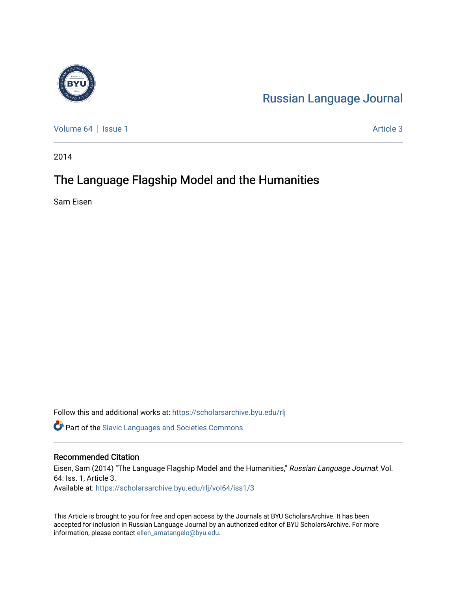

[Russian Language Journal](https://scholarsarchive.byu.edu/rlj) 

[Volume 64](https://scholarsarchive.byu.edu/rlj/vol64) | [Issue 1](https://scholarsarchive.byu.edu/rlj/vol64/iss1) Article 3

2014

# The Language Flagship Model and the Humanities

Sam Eisen

Follow this and additional works at: [https://scholarsarchive.byu.edu/rlj](https://scholarsarchive.byu.edu/rlj?utm_source=scholarsarchive.byu.edu%2Frlj%2Fvol64%2Fiss1%2F3&utm_medium=PDF&utm_campaign=PDFCoverPages)

**C** Part of the Slavic Languages and Societies Commons

#### Recommended Citation

Eisen, Sam (2014) "The Language Flagship Model and the Humanities," Russian Language Journal: Vol. 64: Iss. 1, Article 3. Available at: [https://scholarsarchive.byu.edu/rlj/vol64/iss1/3](https://scholarsarchive.byu.edu/rlj/vol64/iss1/3?utm_source=scholarsarchive.byu.edu%2Frlj%2Fvol64%2Fiss1%2F3&utm_medium=PDF&utm_campaign=PDFCoverPages) 

This Article is brought to you for free and open access by the Journals at BYU ScholarsArchive. It has been accepted for inclusion in Russian Language Journal by an authorized editor of BYU ScholarsArchive. For more information, please contact [ellen\\_amatangelo@byu.edu.](mailto:ellen_amatangelo@byu.edu)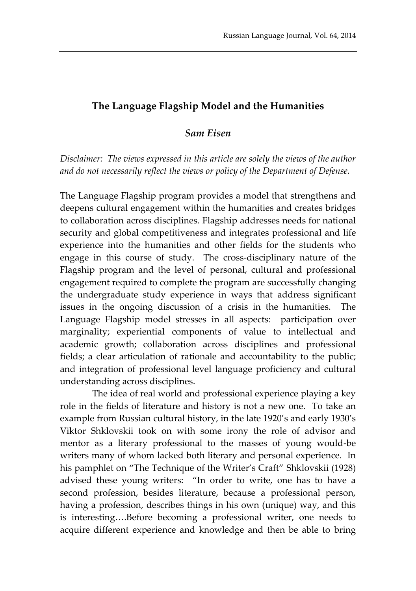## **The Language Flagship Model and the Humanities**

#### *Sam Eisen*

*Disclaimer: The views expressed in this article are solely the views of the author and do not necessarily reflect the views or policy of the Department of Defense.*

The Language Flagship program provides a model that strengthens and deepens cultural engagement within the humanities and creates bridges to collaboration across disciplines. Flagship addresses needs for national security and global competitiveness and integrates professional and life experience into the humanities and other fields for the students who engage in this course of study. The cross-disciplinary nature of the Flagship program and the level of personal, cultural and professional engagement required to complete the program are successfully changing the undergraduate study experience in ways that address significant issues in the ongoing discussion of a crisis in the humanities. The Language Flagship model stresses in all aspects: participation over marginality; experiential components of value to intellectual and academic growth; collaboration across disciplines and professional fields; a clear articulation of rationale and accountability to the public; and integration of professional level language proficiency and cultural understanding across disciplines.

The idea of real world and professional experience playing a key role in the fields of literature and history is not a new one. To take an example from Russian cultural history, in the late 1920's and early 1930's Viktor Shklovskii took on with some irony the role of advisor and mentor as a literary professional to the masses of young would-be writers many of whom lacked both literary and personal experience. In his pamphlet on "The Technique of the Writer's Craft" Shklovskii (1928) advised these young writers: "In order to write, one has to have a second profession, besides literature, because a professional person, having a profession, describes things in his own (unique) way, and this is interesting….Before becoming a professional writer, one needs to acquire different experience and knowledge and then be able to bring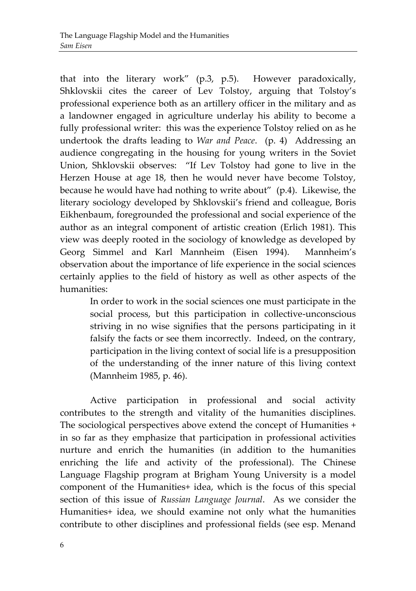that into the literary work" (p.3, p.5). However paradoxically, Shklovskii cites the career of Lev Tolstoy, arguing that Tolstoy's professional experience both as an artillery officer in the military and as a landowner engaged in agriculture underlay his ability to become a fully professional writer: this was the experience Tolstoy relied on as he undertook the drafts leading to *War and Peace*. (p. 4) Addressing an audience congregating in the housing for young writers in the Soviet Union, Shklovskii observes: "If Lev Tolstoy had gone to live in the Herzen House at age 18, then he would never have become Tolstoy, because he would have had nothing to write about" (p.4). Likewise, the literary sociology developed by Shklovskii's friend and colleague, Boris Eikhenbaum, foregrounded the professional and social experience of the author as an integral component of artistic creation (Erlich 1981). This view was deeply rooted in the sociology of knowledge as developed by Georg Simmel and Karl Mannheim (Eisen 1994). Mannheim's observation about the importance of life experience in the social sciences certainly applies to the field of history as well as other aspects of the humanities:

> In order to work in the social sciences one must participate in the social process, but this participation in collective-unconscious striving in no wise signifies that the persons participating in it falsify the facts or see them incorrectly. Indeed, on the contrary, participation in the living context of social life is a presupposition of the understanding of the inner nature of this living context (Mannheim 1985, p. 46).

Active participation in professional and social activity contributes to the strength and vitality of the humanities disciplines. The sociological perspectives above extend the concept of Humanities + in so far as they emphasize that participation in professional activities nurture and enrich the humanities (in addition to the humanities enriching the life and activity of the professional). The Chinese Language Flagship program at Brigham Young University is a model component of the Humanities+ idea, which is the focus of this special section of this issue of *Russian Language Journal*. As we consider the Humanities+ idea, we should examine not only what the humanities contribute to other disciplines and professional fields (see esp. Menand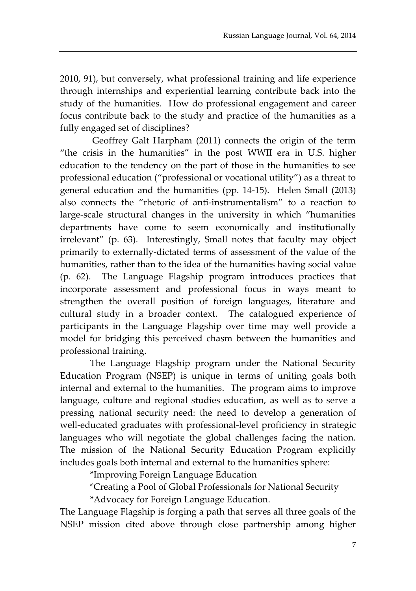2010, 91), but conversely, what professional training and life experience through internships and experiential learning contribute back into the study of the humanities. How do professional engagement and career focus contribute back to the study and practice of the humanities as a fully engaged set of disciplines?

Geoffrey Galt Harpham (2011) connects the origin of the term "the crisis in the humanities" in the post WWII era in U.S. higher education to the tendency on the part of those in the humanities to see professional education ("professional or vocational utility") as a threat to general education and the humanities (pp. 14-15). Helen Small (2013) also connects the "rhetoric of anti-instrumentalism" to a reaction to large-scale structural changes in the university in which "humanities departments have come to seem economically and institutionally irrelevant" (p. 63). Interestingly, Small notes that faculty may object primarily to externally-dictated terms of assessment of the value of the humanities, rather than to the idea of the humanities having social value (p. 62). The Language Flagship program introduces practices that incorporate assessment and professional focus in ways meant to strengthen the overall position of foreign languages, literature and cultural study in a broader context. The catalogued experience of participants in the Language Flagship over time may well provide a model for bridging this perceived chasm between the humanities and professional training.

The Language Flagship program under the National Security Education Program (NSEP) is unique in terms of uniting goals both internal and external to the humanities. The program aims to improve language, culture and regional studies education, as well as to serve a pressing national security need: the need to develop a generation of well-educated graduates with professional-level proficiency in strategic languages who will negotiate the global challenges facing the nation. The mission of the National Security Education Program explicitly includes goals both internal and external to the humanities sphere:

\*Improving Foreign Language Education

\*Creating a Pool of Global Professionals for National Security

\*Advocacy for Foreign Language Education.

The Language Flagship is forging a path that serves all three goals of the NSEP mission cited above through close partnership among higher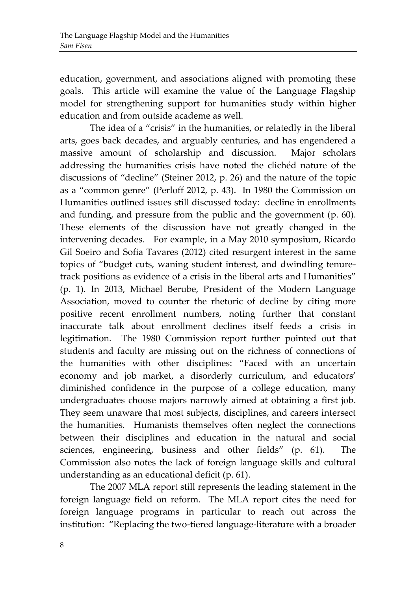education, government, and associations aligned with promoting these goals. This article will examine the value of the Language Flagship model for strengthening support for humanities study within higher education and from outside academe as well.

The idea of a "crisis" in the humanities, or relatedly in the liberal arts, goes back decades, and arguably centuries, and has engendered a massive amount of scholarship and discussion. Major scholars addressing the humanities crisis have noted the clichéd nature of the discussions of "decline" (Steiner 2012, p. 26) and the nature of the topic as a "common genre" (Perloff 2012, p. 43). In 1980 the Commission on Humanities outlined issues still discussed today: decline in enrollments and funding, and pressure from the public and the government (p. 60). These elements of the discussion have not greatly changed in the intervening decades. For example, in a May 2010 symposium, Ricardo Gil Soeiro and Sofia Tavares (2012) cited resurgent interest in the same topics of "budget cuts, waning student interest, and dwindling tenuretrack positions as evidence of a crisis in the liberal arts and Humanities" (p. 1). In 2013, Michael Berube, President of the Modern Language Association, moved to counter the rhetoric of decline by citing more positive recent enrollment numbers, noting further that constant inaccurate talk about enrollment declines itself feeds a crisis in legitimation. The 1980 Commission report further pointed out that students and faculty are missing out on the richness of connections of the humanities with other disciplines: "Faced with an uncertain economy and job market, a disorderly curriculum, and educators' diminished confidence in the purpose of a college education, many undergraduates choose majors narrowly aimed at obtaining a first job. They seem unaware that most subjects, disciplines, and careers intersect the humanities. Humanists themselves often neglect the connections between their disciplines and education in the natural and social sciences, engineering, business and other fields" (p. 61). The Commission also notes the lack of foreign language skills and cultural understanding as an educational deficit (p. 61).

The 2007 MLA report still represents the leading statement in the foreign language field on reform. The MLA report cites the need for foreign language programs in particular to reach out across the institution: "Replacing the two-tiered language-literature with a broader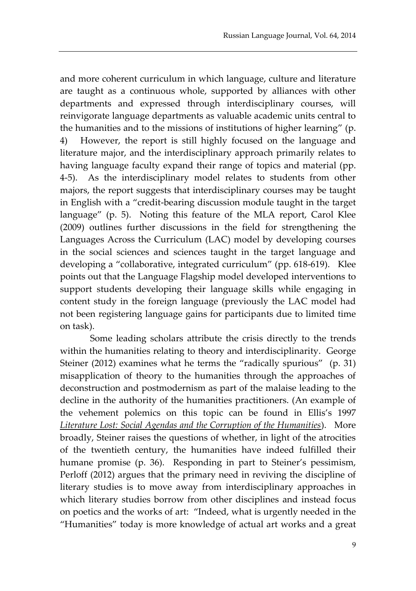and more coherent curriculum in which language, culture and literature are taught as a continuous whole, supported by alliances with other departments and expressed through interdisciplinary courses, will reinvigorate language departments as valuable academic units central to the humanities and to the missions of institutions of higher learning" (p. 4) However, the report is still highly focused on the language and literature major, and the interdisciplinary approach primarily relates to having language faculty expand their range of topics and material (pp. 4-5). As the interdisciplinary model relates to students from other majors, the report suggests that interdisciplinary courses may be taught in English with a "credit-bearing discussion module taught in the target language" (p. 5). Noting this feature of the MLA report, Carol Klee (2009) outlines further discussions in the field for strengthening the Languages Across the Curriculum (LAC) model by developing courses in the social sciences and sciences taught in the target language and developing a "collaborative, integrated curriculum" (pp. 618-619). Klee points out that the Language Flagship model developed interventions to support students developing their language skills while engaging in content study in the foreign language (previously the LAC model had not been registering language gains for participants due to limited time on task).

Some leading scholars attribute the crisis directly to the trends within the humanities relating to theory and interdisciplinarity. George Steiner (2012) examines what he terms the "radically spurious" (p. 31) misapplication of theory to the humanities through the approaches of deconstruction and postmodernism as part of the malaise leading to the decline in the authority of the humanities practitioners. (An example of the vehement polemics on this topic can be found in Ellis's 1997 *Literature Lost: Social Agendas and the Corruption of the Humanities*). More broadly, Steiner raises the questions of whether, in light of the atrocities of the twentieth century, the humanities have indeed fulfilled their humane promise (p. 36). Responding in part to Steiner's pessimism, Perloff (2012) argues that the primary need in reviving the discipline of literary studies is to move away from interdisciplinary approaches in which literary studies borrow from other disciplines and instead focus on poetics and the works of art: "Indeed, what is urgently needed in the "Humanities" today is more knowledge of actual art works and a great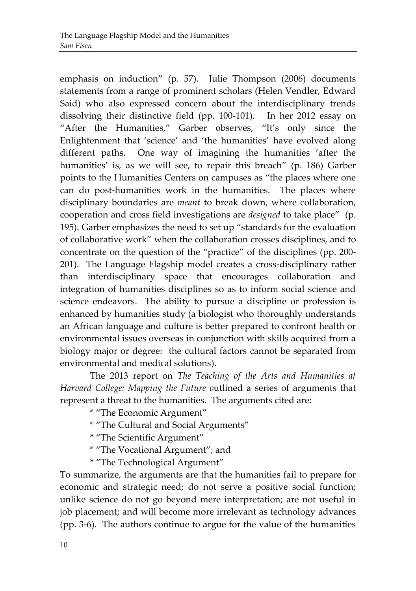emphasis on induction" (p. 57). Julie Thompson (2006) documents statements from a range of prominent scholars (Helen Vendler, Edward Said) who also expressed concern about the interdisciplinary trends dissolving their distinctive field (pp. 100-101). In her 2012 essay on "After the Humanities," Garber observes, "It's only since the Enlightenment that 'science' and 'the humanities' have evolved along different paths. One way of imagining the humanities 'after the humanities' is, as we will see, to repair this breach" (p. 186) Garber points to the Humanities Centers on campuses as "the places where one can do post-humanities work in the humanities. The places where disciplinary boundaries are *meant* to break down, where collaboration, cooperation and cross field investigations are *designed* to take place" (p. 195). Garber emphasizes the need to set up "standards for the evaluation of collaborative work" when the collaboration crosses disciplines, and to concentrate on the question of the "practice" of the disciplines (pp. 200- 201). The Language Flagship model creates a cross-disciplinary rather than interdisciplinary space that encourages collaboration and integration of humanities disciplines so as to inform social science and science endeavors. The ability to pursue a discipline or profession is enhanced by humanities study (a biologist who thoroughly understands an African language and culture is better prepared to confront health or environmental issues overseas in conjunction with skills acquired from a biology major or degree: the cultural factors cannot be separated from environmental and medical solutions).

The 2013 report on *The Teaching of the Arts and Humanities at Harvard College: Mapping the Future o*utlined a series of arguments that represent a threat to the humanities. The arguments cited are:

\* "The Economic Argument"

- \* "The Cultural and Social Arguments"
- \* "The Scientific Argument"
- \* "The Vocational Argument"; and
- \* "The Technological Argument"

To summarize, the arguments are that the humanities fail to prepare for economic and strategic need; do not serve a positive social function; unlike science do not go beyond mere interpretation; are not useful in job placement; and will become more irrelevant as technology advances (pp. 3-6). The authors continue to argue for the value of the humanities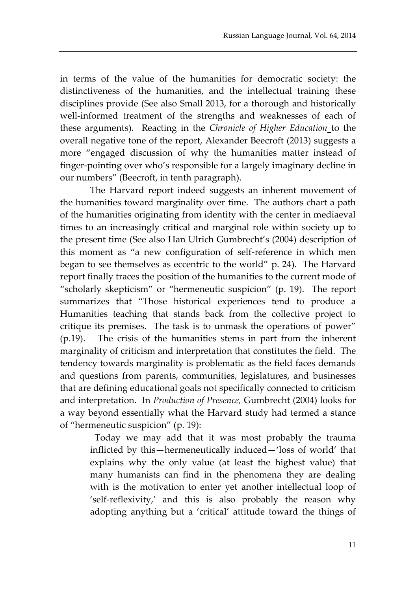in terms of the value of the humanities for democratic society: the distinctiveness of the humanities, and the intellectual training these disciplines provide (See also Small 2013, for a thorough and historically well-informed treatment of the strengths and weaknesses of each of these arguments). Reacting in the *Chronicle of Higher Education* to the overall negative tone of the report, Alexander Beecroft (2013) suggests a more "engaged discussion of why the humanities matter instead of finger-pointing over who's responsible for a largely imaginary decline in our numbers" (Beecroft, in tenth paragraph).

The Harvard report indeed suggests an inherent movement of the humanities toward marginality over time. The authors chart a path of the humanities originating from identity with the center in mediaeval times to an increasingly critical and marginal role within society up to the present time (See also Han Ulrich Gumbrecht's (2004) description of this moment as "a new configuration of self-reference in which men began to see themselves as eccentric to the world" p. 24). The Harvard report finally traces the position of the humanities to the current mode of "scholarly skepticism" or "hermeneutic suspicion" (p. 19). The report summarizes that "Those historical experiences tend to produce a Humanities teaching that stands back from the collective project to critique its premises. The task is to unmask the operations of power" (p.19). The crisis of the humanities stems in part from the inherent marginality of criticism and interpretation that constitutes the field. The tendency towards marginality is problematic as the field faces demands and questions from parents, communities, legislatures, and businesses that are defining educational goals not specifically connected to criticism and interpretation. In *Production of Presence,* Gumbrecht (2004) looks for a way beyond essentially what the Harvard study had termed a stance of "hermeneutic suspicion" (p. 19):

 Today we may add that it was most probably the trauma inflicted by this—hermeneutically induced—'loss of world' that explains why the only value (at least the highest value) that many humanists can find in the phenomena they are dealing with is the motivation to enter yet another intellectual loop of 'self-reflexivity,' and this is also probably the reason why adopting anything but a 'critical' attitude toward the things of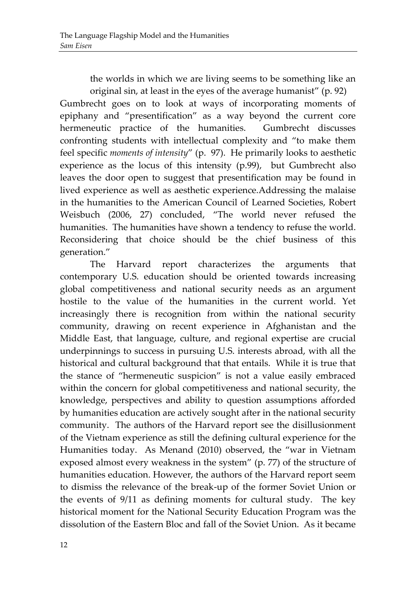the worlds in which we are living seems to be something like an original sin, at least in the eyes of the average humanist" (p. 92)

Gumbrecht goes on to look at ways of incorporating moments of epiphany and "presentification" as a way beyond the current core hermeneutic practice of the humanities. Gumbrecht discusses confronting students with intellectual complexity and "to make them feel specific *moments of intensity*" (p. 97). He primarily looks to aesthetic experience as the locus of this intensity (p.99), but Gumbrecht also leaves the door open to suggest that presentification may be found in lived experience as well as aesthetic experience.Addressing the malaise in the humanities to the American Council of Learned Societies, Robert Weisbuch (2006, 27) concluded, "The world never refused the humanities. The humanities have shown a tendency to refuse the world. Reconsidering that choice should be the chief business of this generation."

The Harvard report characterizes the arguments that contemporary U.S. education should be oriented towards increasing global competitiveness and national security needs as an argument hostile to the value of the humanities in the current world. Yet increasingly there is recognition from within the national security community, drawing on recent experience in Afghanistan and the Middle East, that language, culture, and regional expertise are crucial underpinnings to success in pursuing U.S. interests abroad, with all the historical and cultural background that that entails. While it is true that the stance of "hermeneutic suspicion" is not a value easily embraced within the concern for global competitiveness and national security, the knowledge, perspectives and ability to question assumptions afforded by humanities education are actively sought after in the national security community. The authors of the Harvard report see the disillusionment of the Vietnam experience as still the defining cultural experience for the Humanities today. As Menand (2010) observed, the "war in Vietnam exposed almost every weakness in the system" (p. 77) of the structure of humanities education. However, the authors of the Harvard report seem to dismiss the relevance of the break-up of the former Soviet Union or the events of 9/11 as defining moments for cultural study. The key historical moment for the National Security Education Program was the dissolution of the Eastern Bloc and fall of the Soviet Union. As it became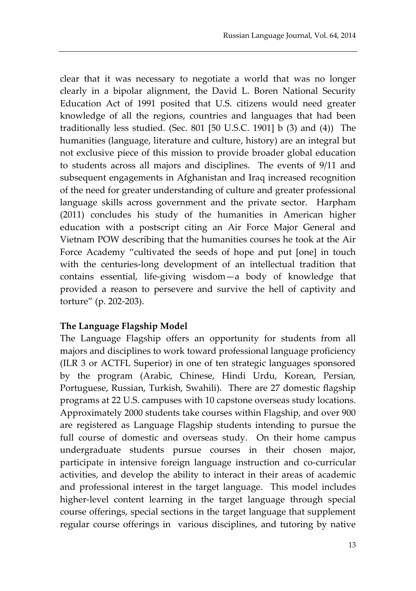clear that it was necessary to negotiate a world that was no longer clearly in a bipolar alignment, the David L. Boren National Security Education Act of 1991 posited that U.S. citizens would need greater knowledge of all the regions, countries and languages that had been traditionally less studied. (Sec. 801 [50 U.S.C. 1901] b (3) and (4)) The humanities (language, literature and culture, history) are an integral but not exclusive piece of this mission to provide broader global education to students across all majors and disciplines. The events of 9/11 and subsequent engagements in Afghanistan and Iraq increased recognition of the need for greater understanding of culture and greater professional language skills across government and the private sector. Harpham (2011) concludes his study of the humanities in American higher education with a postscript citing an Air Force Major General and Vietnam POW describing that the humanities courses he took at the Air Force Academy "cultivated the seeds of hope and put [one] in touch with the centuries-long development of an intellectual tradition that contains essential, life-giving wisdom—a body of knowledge that provided a reason to persevere and survive the hell of captivity and torture" (p. 202-203).

# **The Language Flagship Model**

The Language Flagship offers an opportunity for students from all majors and disciplines to work toward professional language proficiency (ILR 3 or ACTFL Superior) in one of ten strategic languages sponsored by the program (Arabic, Chinese, Hindi Urdu, Korean, Persian, Portuguese, Russian, Turkish, Swahili). There are 27 domestic flagship programs at 22 U.S. campuses with 10 capstone overseas study locations. Approximately 2000 students take courses within Flagship, and over 900 are registered as Language Flagship students intending to pursue the full course of domestic and overseas study. On their home campus undergraduate students pursue courses in their chosen major, participate in intensive foreign language instruction and co-curricular activities, and develop the ability to interact in their areas of academic and professional interest in the target language. This model includes higher-level content learning in the target language through special course offerings, special sections in the target language that supplement regular course offerings in various disciplines, and tutoring by native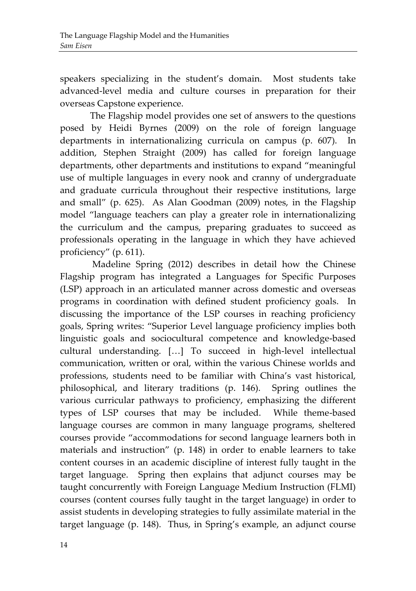speakers specializing in the student's domain. Most students take advanced-level media and culture courses in preparation for their overseas Capstone experience.

The Flagship model provides one set of answers to the questions posed by Heidi Byrnes (2009) on the role of foreign language departments in internationalizing curricula on campus (p. 607). In addition, Stephen Straight (2009) has called for foreign language departments, other departments and institutions to expand "meaningful use of multiple languages in every nook and cranny of undergraduate and graduate curricula throughout their respective institutions, large and small" (p. 625). As Alan Goodman (2009) notes, in the Flagship model "language teachers can play a greater role in internationalizing the curriculum and the campus, preparing graduates to succeed as professionals operating in the language in which they have achieved proficiency" (p. 611).

Madeline Spring (2012) describes in detail how the Chinese Flagship program has integrated a Languages for Specific Purposes (LSP) approach in an articulated manner across domestic and overseas programs in coordination with defined student proficiency goals. In discussing the importance of the LSP courses in reaching proficiency goals, Spring writes: "Superior Level language proficiency implies both linguistic goals and sociocultural competence and knowledge-based cultural understanding. […] To succeed in high-level intellectual communication, written or oral, within the various Chinese worlds and professions, students need to be familiar with China's vast historical, philosophical, and literary traditions (p. 146). Spring outlines the various curricular pathways to proficiency, emphasizing the different types of LSP courses that may be included. While theme-based language courses are common in many language programs, sheltered courses provide "accommodations for second language learners both in materials and instruction" (p. 148) in order to enable learners to take content courses in an academic discipline of interest fully taught in the target language. Spring then explains that adjunct courses may be taught concurrently with Foreign Language Medium Instruction (FLMI) courses (content courses fully taught in the target language) in order to assist students in developing strategies to fully assimilate material in the target language (p. 148). Thus, in Spring's example, an adjunct course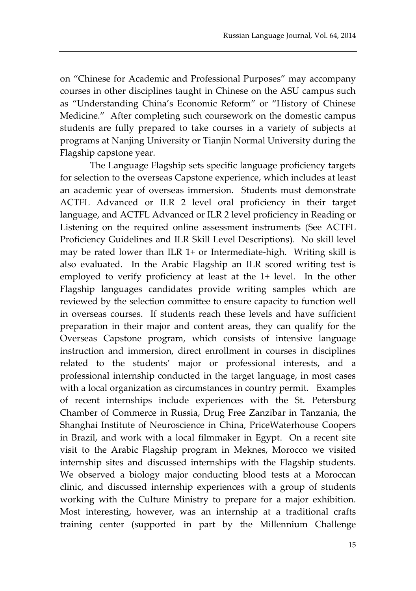on "Chinese for Academic and Professional Purposes" may accompany courses in other disciplines taught in Chinese on the ASU campus such as "Understanding China's Economic Reform" or "History of Chinese Medicine." After completing such coursework on the domestic campus students are fully prepared to take courses in a variety of subjects at programs at Nanjing University or Tianjin Normal University during the Flagship capstone year.

The Language Flagship sets specific language proficiency targets for selection to the overseas Capstone experience, which includes at least an academic year of overseas immersion. Students must demonstrate ACTFL Advanced or ILR 2 level oral proficiency in their target language, and ACTFL Advanced or ILR 2 level proficiency in Reading or Listening on the required online assessment instruments (See ACTFL Proficiency Guidelines and ILR Skill Level Descriptions). No skill level may be rated lower than ILR 1+ or Intermediate-high. Writing skill is also evaluated. In the Arabic Flagship an ILR scored writing test is employed to verify proficiency at least at the 1+ level. In the other Flagship languages candidates provide writing samples which are reviewed by the selection committee to ensure capacity to function well in overseas courses. If students reach these levels and have sufficient preparation in their major and content areas, they can qualify for the Overseas Capstone program, which consists of intensive language instruction and immersion, direct enrollment in courses in disciplines related to the students' major or professional interests, and a professional internship conducted in the target language, in most cases with a local organization as circumstances in country permit. Examples of recent internships include experiences with the St. Petersburg Chamber of Commerce in Russia, Drug Free Zanzibar in Tanzania, the Shanghai Institute of Neuroscience in China, PriceWaterhouse Coopers in Brazil, and work with a local filmmaker in Egypt. On a recent site visit to the Arabic Flagship program in Meknes, Morocco we visited internship sites and discussed internships with the Flagship students. We observed a biology major conducting blood tests at a Moroccan clinic, and discussed internship experiences with a group of students working with the Culture Ministry to prepare for a major exhibition. Most interesting, however, was an internship at a traditional crafts training center (supported in part by the Millennium Challenge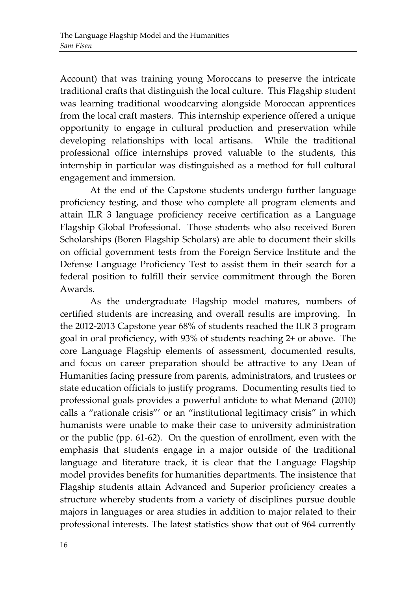Account) that was training young Moroccans to preserve the intricate traditional crafts that distinguish the local culture. This Flagship student was learning traditional woodcarving alongside Moroccan apprentices from the local craft masters. This internship experience offered a unique opportunity to engage in cultural production and preservation while developing relationships with local artisans. While the traditional professional office internships proved valuable to the students, this internship in particular was distinguished as a method for full cultural engagement and immersion.

At the end of the Capstone students undergo further language proficiency testing, and those who complete all program elements and attain ILR 3 language proficiency receive certification as a Language Flagship Global Professional. Those students who also received Boren Scholarships (Boren Flagship Scholars) are able to document their skills on official government tests from the Foreign Service Institute and the Defense Language Proficiency Test to assist them in their search for a federal position to fulfill their service commitment through the Boren Awards.

As the undergraduate Flagship model matures, numbers of certified students are increasing and overall results are improving. In the 2012-2013 Capstone year 68% of students reached the ILR 3 program goal in oral proficiency, with 93% of students reaching 2+ or above. The core Language Flagship elements of assessment, documented results, and focus on career preparation should be attractive to any Dean of Humanities facing pressure from parents, administrators, and trustees or state education officials to justify programs. Documenting results tied to professional goals provides a powerful antidote to what Menand (2010) calls a "rationale crisis"' or an "institutional legitimacy crisis" in which humanists were unable to make their case to university administration or the public (pp. 61-62). On the question of enrollment, even with the emphasis that students engage in a major outside of the traditional language and literature track, it is clear that the Language Flagship model provides benefits for humanities departments. The insistence that Flagship students attain Advanced and Superior proficiency creates a structure whereby students from a variety of disciplines pursue double majors in languages or area studies in addition to major related to their professional interests. The latest statistics show that out of 964 currently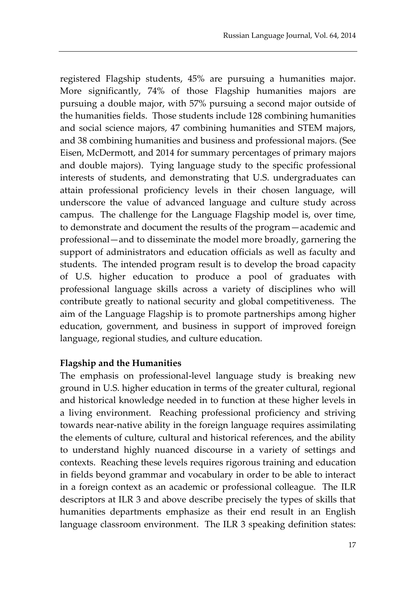registered Flagship students, 45% are pursuing a humanities major. More significantly, 74% of those Flagship humanities majors are pursuing a double major, with 57% pursuing a second major outside of the humanities fields. Those students include 128 combining humanities and social science majors, 47 combining humanities and STEM majors, and 38 combining humanities and business and professional majors. (See Eisen, McDermott, and 2014 for summary percentages of primary majors and double majors). Tying language study to the specific professional interests of students, and demonstrating that U.S. undergraduates can attain professional proficiency levels in their chosen language, will underscore the value of advanced language and culture study across campus. The challenge for the Language Flagship model is, over time, to demonstrate and document the results of the program—academic and professional—and to disseminate the model more broadly, garnering the support of administrators and education officials as well as faculty and students. The intended program result is to develop the broad capacity of U.S. higher education to produce a pool of graduates with professional language skills across a variety of disciplines who will contribute greatly to national security and global competitiveness. The aim of the Language Flagship is to promote partnerships among higher education, government, and business in support of improved foreign language, regional studies, and culture education.

# **Flagship and the Humanities**

The emphasis on professional-level language study is breaking new ground in U.S. higher education in terms of the greater cultural, regional and historical knowledge needed in to function at these higher levels in a living environment. Reaching professional proficiency and striving towards near-native ability in the foreign language requires assimilating the elements of culture, cultural and historical references, and the ability to understand highly nuanced discourse in a variety of settings and contexts. Reaching these levels requires rigorous training and education in fields beyond grammar and vocabulary in order to be able to interact in a foreign context as an academic or professional colleague. The ILR descriptors at ILR 3 and above describe precisely the types of skills that humanities departments emphasize as their end result in an English language classroom environment. The ILR 3 speaking definition states: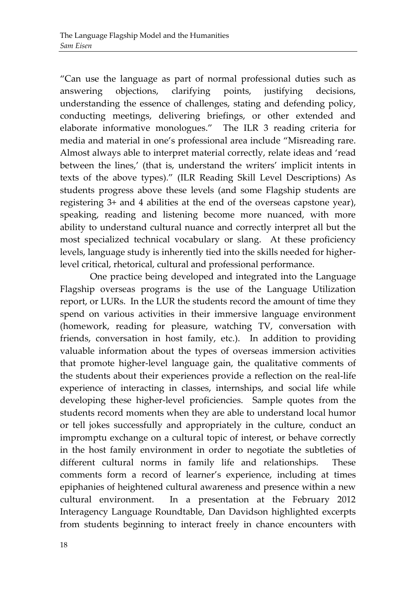"Can use the language as part of normal professional duties such as answering objections, clarifying points, justifying decisions, understanding the essence of challenges, stating and defending policy, conducting meetings, delivering briefings, or other extended and elaborate informative monologues." The ILR 3 reading criteria for media and material in one's professional area include "Misreading rare. Almost always able to interpret material correctly, relate ideas and 'read between the lines,' (that is, understand the writers' implicit intents in texts of the above types)." (ILR Reading Skill Level Descriptions) As students progress above these levels (and some Flagship students are registering 3+ and 4 abilities at the end of the overseas capstone year), speaking, reading and listening become more nuanced, with more ability to understand cultural nuance and correctly interpret all but the most specialized technical vocabulary or slang. At these proficiency levels, language study is inherently tied into the skills needed for higherlevel critical, rhetorical, cultural and professional performance.

One practice being developed and integrated into the Language Flagship overseas programs is the use of the Language Utilization report, or LURs. In the LUR the students record the amount of time they spend on various activities in their immersive language environment (homework, reading for pleasure, watching TV, conversation with friends, conversation in host family, etc.). In addition to providing valuable information about the types of overseas immersion activities that promote higher-level language gain, the qualitative comments of the students about their experiences provide a reflection on the real-life experience of interacting in classes, internships, and social life while developing these higher-level proficiencies. Sample quotes from the students record moments when they are able to understand local humor or tell jokes successfully and appropriately in the culture, conduct an impromptu exchange on a cultural topic of interest, or behave correctly in the host family environment in order to negotiate the subtleties of different cultural norms in family life and relationships. These comments form a record of learner's experience, including at times epiphanies of heightened cultural awareness and presence within a new cultural environment. In a presentation at the February 2012 Interagency Language Roundtable, Dan Davidson highlighted excerpts from students beginning to interact freely in chance encounters with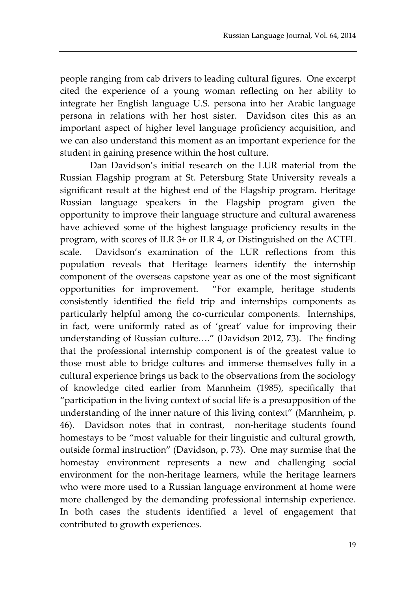people ranging from cab drivers to leading cultural figures. One excerpt cited the experience of a young woman reflecting on her ability to integrate her English language U.S. persona into her Arabic language persona in relations with her host sister. Davidson cites this as an important aspect of higher level language proficiency acquisition, and we can also understand this moment as an important experience for the student in gaining presence within the host culture.

Dan Davidson's initial research on the LUR material from the Russian Flagship program at St. Petersburg State University reveals a significant result at the highest end of the Flagship program. Heritage Russian language speakers in the Flagship program given the opportunity to improve their language structure and cultural awareness have achieved some of the highest language proficiency results in the program, with scores of ILR 3+ or ILR 4, or Distinguished on the ACTFL scale. Davidson's examination of the LUR reflections from this population reveals that Heritage learners identify the internship component of the overseas capstone year as one of the most significant opportunities for improvement. "For example, heritage students consistently identified the field trip and internships components as particularly helpful among the co-curricular components. Internships, in fact, were uniformly rated as of 'great' value for improving their understanding of Russian culture…." (Davidson 2012, 73). The finding that the professional internship component is of the greatest value to those most able to bridge cultures and immerse themselves fully in a cultural experience brings us back to the observations from the sociology of knowledge cited earlier from Mannheim (1985), specifically that "participation in the living context of social life is a presupposition of the understanding of the inner nature of this living context" (Mannheim, p. 46). Davidson notes that in contrast, non-heritage students found homestays to be "most valuable for their linguistic and cultural growth, outside formal instruction" (Davidson, p. 73). One may surmise that the homestay environment represents a new and challenging social environment for the non-heritage learners, while the heritage learners who were more used to a Russian language environment at home were more challenged by the demanding professional internship experience. In both cases the students identified a level of engagement that contributed to growth experiences.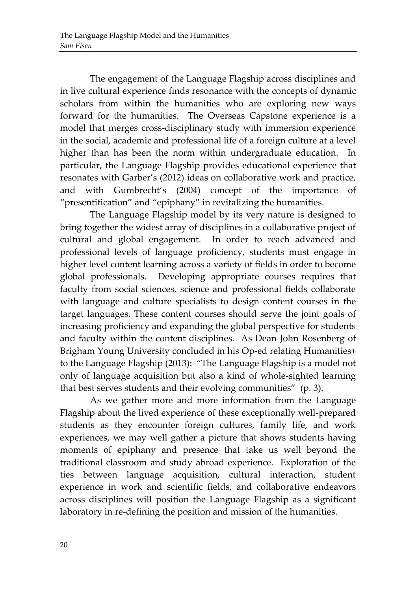The engagement of the Language Flagship across disciplines and in live cultural experience finds resonance with the concepts of dynamic scholars from within the humanities who are exploring new ways forward for the humanities. The Overseas Capstone experience is a model that merges cross-disciplinary study with immersion experience in the social, academic and professional life of a foreign culture at a level higher than has been the norm within undergraduate education. In particular, the Language Flagship provides educational experience that resonates with Garber's (2012) ideas on collaborative work and practice, and with Gumbrecht's (2004) concept of the importance of "presentification" and "epiphany" in revitalizing the humanities.

The Language Flagship model by its very nature is designed to bring together the widest array of disciplines in a collaborative project of cultural and global engagement. In order to reach advanced and professional levels of language proficiency, students must engage in higher level content learning across a variety of fields in order to become global professionals. Developing appropriate courses requires that faculty from social sciences, science and professional fields collaborate with language and culture specialists to design content courses in the target languages. These content courses should serve the joint goals of increasing proficiency and expanding the global perspective for students and faculty within the content disciplines. As Dean John Rosenberg of Brigham Young University concluded in his Op-ed relating Humanities+ to the Language Flagship (2013): "The Language Flagship is a model not only of language acquisition but also a kind of whole-sighted learning that best serves students and their evolving communities" (p. 3).

As we gather more and more information from the Language Flagship about the lived experience of these exceptionally well-prepared students as they encounter foreign cultures, family life, and work experiences, we may well gather a picture that shows students having moments of epiphany and presence that take us well beyond the traditional classroom and study abroad experience. Exploration of the ties between language acquisition, cultural interaction, student experience in work and scientific fields, and collaborative endeavors across disciplines will position the Language Flagship as a significant laboratory in re-defining the position and mission of the humanities.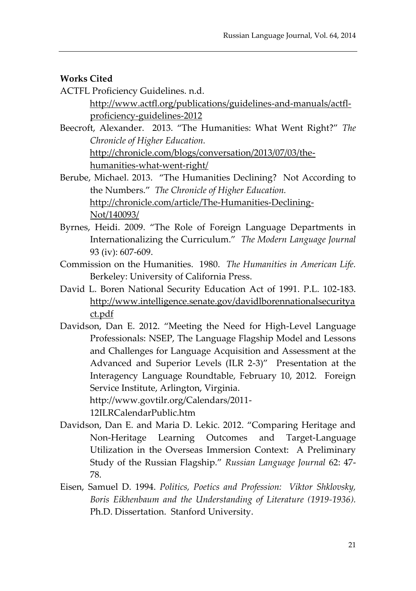## **Works Cited**

- ACTFL Proficiency Guidelines. n.d. [http://www.actfl.org/publications/guidelines-and-manuals/actfl](http://www.actfl.org/publications/guidelines-and-manuals/actfl-proficiency-guidelines-2012)[proficiency-guidelines-2012](http://www.actfl.org/publications/guidelines-and-manuals/actfl-proficiency-guidelines-2012)
- Beecroft, Alexander. 2013. "The Humanities: What Went Right?" *The Chronicle of Higher Education.* [http://chronicle.com/blogs/conversation/2013/07/03/the](http://chronicle.com/blogs/conversation/2013/07/03/the-humanities-what-went-right/)[humanities-what-went-right/](http://chronicle.com/blogs/conversation/2013/07/03/the-humanities-what-went-right/)
- Berube, Michael. 2013. "The Humanities Declining? Not According to the Numbers." *The Chronicle of Higher Education.* [http://chronicle.com/article/The-Humanities-Declining-](http://chronicle.com/article/The-Humanities-Declining-Not/140093/)[Not/140093/](http://chronicle.com/article/The-Humanities-Declining-Not/140093/)
- Byrnes, Heidi. 2009. "The Role of Foreign Language Departments in Internationalizing the Curriculum." *The Modern Language Journal* 93 (iv): 607-609.
- Commission on the Humanities. 1980. *The Humanities in American Life.*  Berkeley: University of California Press.
- David L. Boren National Security Education Act of 1991. P.L. 102-183. [http://www.intelligence.senate.gov/davidlborennationalsecuritya](http://www.intelligence.senate.gov/davidlborennationalsecurityact.pdf) [ct.pdf](http://www.intelligence.senate.gov/davidlborennationalsecurityact.pdf)
- Davidson, Dan E. 2012. "Meeting the Need for High-Level Language Professionals: NSEP, The Language Flagship Model and Lessons and Challenges for Language Acquisition and Assessment at the Advanced and Superior Levels (ILR 2-3)" Presentation at the Interagency Language Roundtable, February 10, 2012. Foreign Service Institute, Arlington, Virginia. http://www.govtilr.org/Calendars/2011-

12ILRCalendarPublic.htm

- Davidson, Dan E. and Maria D. Lekic. 2012. "Comparing Heritage and Non-Heritage Learning Outcomes and Target-Language Utilization in the Overseas Immersion Context: A Preliminary Study of the Russian Flagship." *Russian Language Journal* 62: 47- 78.
- Eisen, Samuel D. 1994. *Politics, Poetics and Profession: Viktor Shklovsky, Boris Eikhenbaum and the Understanding of Literature (1919-1936).* Ph.D. Dissertation. Stanford University.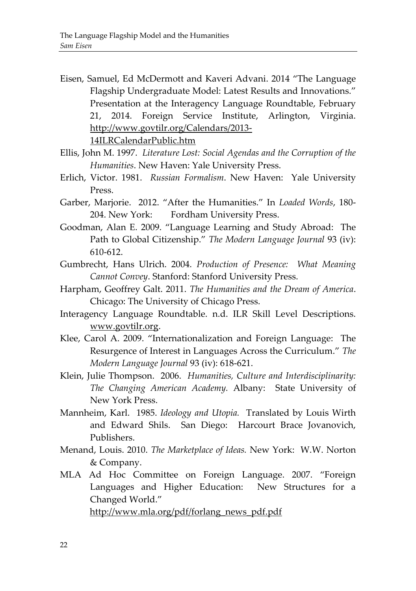- Eisen, Samuel, Ed McDermott and Kaveri Advani. 2014 "The Language Flagship Undergraduate Model: Latest Results and Innovations." Presentation at the Interagency Language Roundtable, February 21, 2014. Foreign Service Institute, Arlington, Virginia. http://www.govtilr.org/Calendars/2013- 14ILRCalendarPublic.htm
- Ellis, John M. 1997. *Literature Lost: Social Agendas and the Corruption of the Humanities*. New Haven: Yale University Press.
- Erlich, Victor. 1981. *Russian Formalism*. New Haven: Yale University Press.
- Garber, Marjorie. 2012. "After the Humanities." In *Loaded Words*, 180- 204. New York: Fordham University Press.
- Goodman, Alan E. 2009. "Language Learning and Study Abroad: The Path to Global Citizenship." *The Modern Language Journal* 93 (iv): 610-612.
- Gumbrecht, Hans Ulrich. 2004. *Production of Presence: What Meaning Cannot Convey*. Stanford: Stanford University Press.
- Harpham, Geoffrey Galt. 2011. *The Humanities and the Dream of America*. Chicago: The University of Chicago Press.
- Interagency Language Roundtable. n.d. ILR Skill Level Descriptions. [www.govtilr.org.](http://www.govtilr.org/)
- Klee, Carol A. 2009. "Internationalization and Foreign Language: The Resurgence of Interest in Languages Across the Curriculum." *The Modern Language Journal* 93 (iv): 618-621.
- Klein, Julie Thompson. 2006. *Humanities, Culture and Interdisciplinarity: The Changing American Academy.* Albany: State University of New York Press.
- Mannheim, Karl. 1985. *Ideology and Utopia.* Translated by Louis Wirth and Edward Shils. San Diego: Harcourt Brace Jovanovich, Publishers.
- Menand, Louis. 2010. *The Marketplace of Ideas.* New York: W.W. Norton & Company.
- MLA Ad Hoc Committee on Foreign Language. 2007. "Foreign Languages and Higher Education: New Structures for a Changed World."

[http://www.mla.org/pdf/forlang\\_news\\_pdf.pdf](http://www.mla.org/pdf/forlang_news_pdf.pdf)